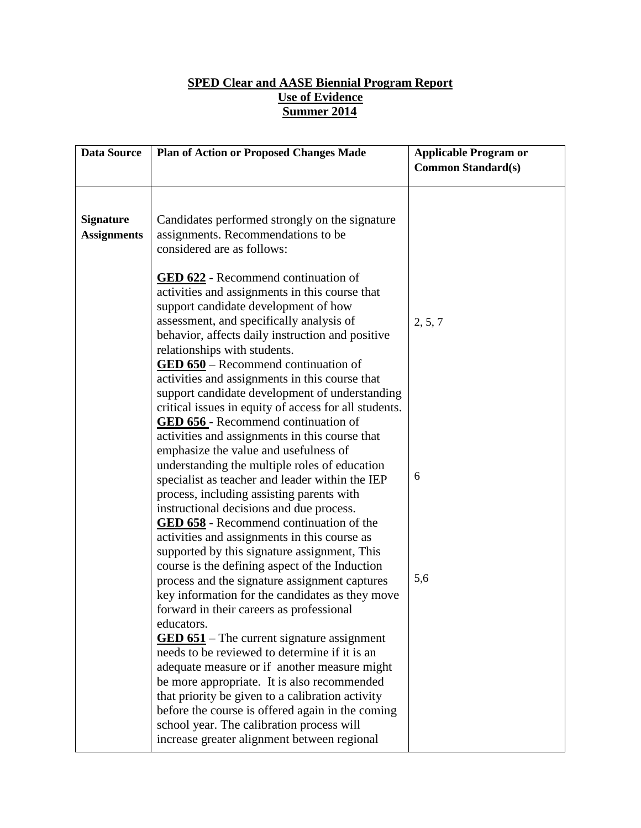## **SPED Clear and AASE Biennial Program Report Use of Evidence Summer 2014**

| <b>Data Source</b>                     | <b>Plan of Action or Proposed Changes Made</b>                                                                                                                                                                                                                                                                                                                                                                                                                                                                                                                                                                                                                   | <b>Applicable Program or</b><br><b>Common Standard(s)</b> |
|----------------------------------------|------------------------------------------------------------------------------------------------------------------------------------------------------------------------------------------------------------------------------------------------------------------------------------------------------------------------------------------------------------------------------------------------------------------------------------------------------------------------------------------------------------------------------------------------------------------------------------------------------------------------------------------------------------------|-----------------------------------------------------------|
|                                        |                                                                                                                                                                                                                                                                                                                                                                                                                                                                                                                                                                                                                                                                  |                                                           |
| <b>Signature</b><br><b>Assignments</b> | Candidates performed strongly on the signature<br>assignments. Recommendations to be<br>considered are as follows:                                                                                                                                                                                                                                                                                                                                                                                                                                                                                                                                               |                                                           |
|                                        | <b>GED 622</b> - Recommend continuation of<br>activities and assignments in this course that<br>support candidate development of how<br>assessment, and specifically analysis of<br>behavior, affects daily instruction and positive<br>relationships with students.<br>$\underline{\text{GED 650}}$ – Recommend continuation of<br>activities and assignments in this course that<br>support candidate development of understanding<br>critical issues in equity of access for all students.<br><b>GED 656</b> - Recommend continuation of<br>activities and assignments in this course that                                                                    | 2, 5, 7                                                   |
|                                        | emphasize the value and usefulness of<br>understanding the multiple roles of education<br>specialist as teacher and leader within the IEP<br>process, including assisting parents with<br>instructional decisions and due process.<br><b>GED 658</b> - Recommend continuation of the<br>activities and assignments in this course as                                                                                                                                                                                                                                                                                                                             | 6                                                         |
|                                        | supported by this signature assignment, This<br>course is the defining aspect of the Induction<br>process and the signature assignment captures<br>key information for the candidates as they move<br>forward in their careers as professional<br>educators.<br>$GED 651$ – The current signature assignment<br>needs to be reviewed to determine if it is an<br>adequate measure or if another measure might<br>be more appropriate. It is also recommended<br>that priority be given to a calibration activity<br>before the course is offered again in the coming<br>school year. The calibration process will<br>increase greater alignment between regional | 5,6                                                       |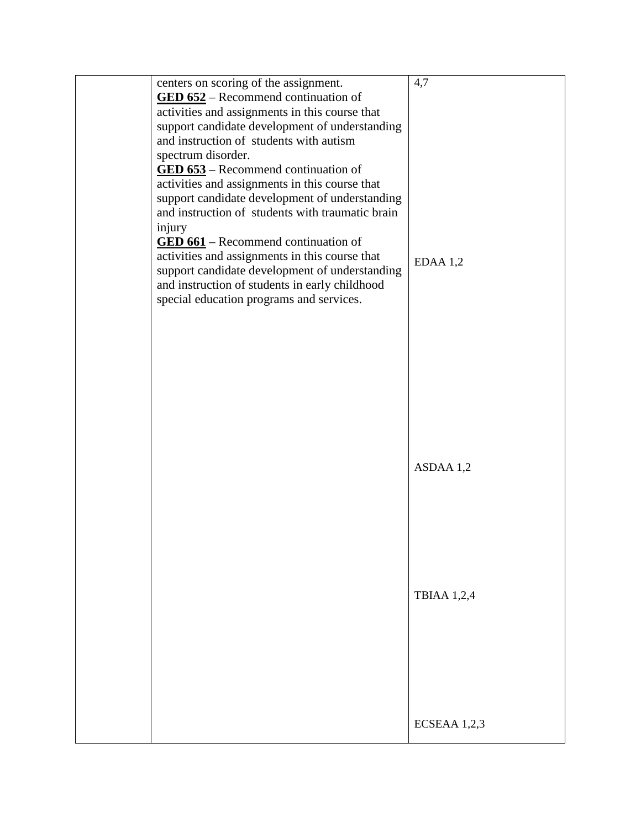| centers on scoring of the assignment.<br>$\underline{\text{GED 652}}$ – Recommend continuation of<br>activities and assignments in this course that<br>support candidate development of understanding<br>and instruction of students with autism<br>spectrum disorder.<br>$\underline{\text{GED 653}}$ – Recommend continuation of<br>activities and assignments in this course that<br>support candidate development of understanding<br>and instruction of students with traumatic brain<br>injury<br>$\underline{\text{GED 661}}$ – Recommend continuation of<br>activities and assignments in this course that<br>support candidate development of understanding<br>and instruction of students in early childhood<br>special education programs and services. | 4,7<br>$EDAA$ 1,2  |
|--------------------------------------------------------------------------------------------------------------------------------------------------------------------------------------------------------------------------------------------------------------------------------------------------------------------------------------------------------------------------------------------------------------------------------------------------------------------------------------------------------------------------------------------------------------------------------------------------------------------------------------------------------------------------------------------------------------------------------------------------------------------|--------------------|
|                                                                                                                                                                                                                                                                                                                                                                                                                                                                                                                                                                                                                                                                                                                                                                    | ASDAA 1,2          |
|                                                                                                                                                                                                                                                                                                                                                                                                                                                                                                                                                                                                                                                                                                                                                                    | <b>TBIAA 1,2,4</b> |
|                                                                                                                                                                                                                                                                                                                                                                                                                                                                                                                                                                                                                                                                                                                                                                    | ECSEAA 1,2,3       |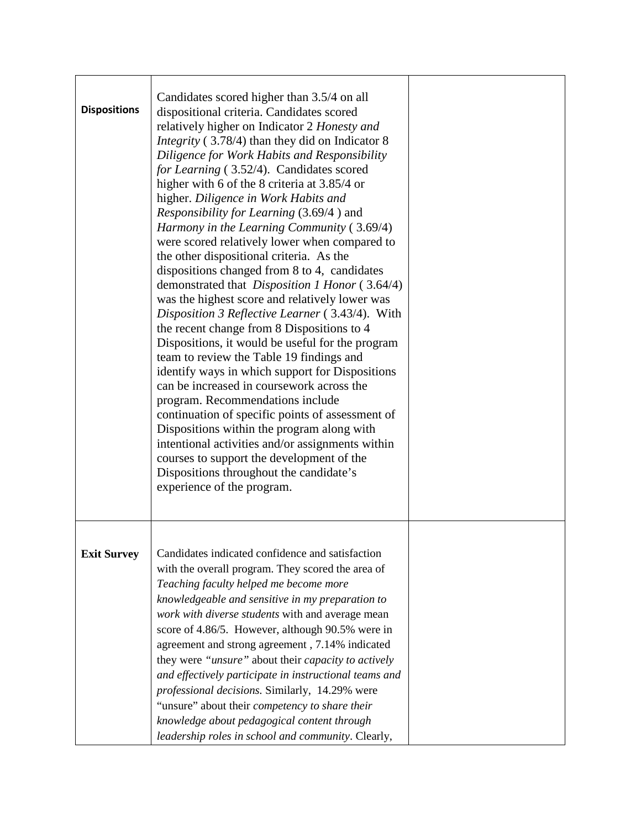| <b>Dispositions</b> | Candidates scored higher than 3.5/4 on all<br>dispositional criteria. Candidates scored<br>relatively higher on Indicator 2 Honesty and<br><i>Integrity</i> (3.78/4) than they did on Indicator 8<br>Diligence for Work Habits and Responsibility<br>for Learning (3.52/4). Candidates scored<br>higher with 6 of the 8 criteria at 3.85/4 or<br>higher. Diligence in Work Habits and<br><i>Responsibility for Learning</i> (3.69/4) and<br>Harmony in the Learning Community $(3.69/4)$<br>were scored relatively lower when compared to<br>the other dispositional criteria. As the<br>dispositions changed from 8 to 4, candidates<br>demonstrated that <i>Disposition 1 Honor</i> (3.64/4)<br>was the highest score and relatively lower was<br>Disposition 3 Reflective Learner (3.43/4). With<br>the recent change from 8 Dispositions to 4<br>Dispositions, it would be useful for the program<br>team to review the Table 19 findings and<br>identify ways in which support for Dispositions<br>can be increased in coursework across the<br>program. Recommendations include<br>continuation of specific points of assessment of<br>Dispositions within the program along with<br>intentional activities and/or assignments within<br>courses to support the development of the<br>Dispositions throughout the candidate's<br>experience of the program. |  |
|---------------------|-------------------------------------------------------------------------------------------------------------------------------------------------------------------------------------------------------------------------------------------------------------------------------------------------------------------------------------------------------------------------------------------------------------------------------------------------------------------------------------------------------------------------------------------------------------------------------------------------------------------------------------------------------------------------------------------------------------------------------------------------------------------------------------------------------------------------------------------------------------------------------------------------------------------------------------------------------------------------------------------------------------------------------------------------------------------------------------------------------------------------------------------------------------------------------------------------------------------------------------------------------------------------------------------------------------------------------------------------------------------|--|
| <b>Exit Survey</b>  | Candidates indicated confidence and satisfaction<br>with the overall program. They scored the area of<br>Teaching faculty helped me become more<br>knowledgeable and sensitive in my preparation to<br>work with diverse students with and average mean<br>score of 4.86/5. However, although 90.5% were in<br>agreement and strong agreement, 7.14% indicated<br>they were "unsure" about their capacity to actively<br>and effectively participate in instructional teams and<br>professional decisions. Similarly, 14.29% were<br>"unsure" about their competency to share their<br>knowledge about pedagogical content through<br>leadership roles in school and community. Clearly,                                                                                                                                                                                                                                                                                                                                                                                                                                                                                                                                                                                                                                                                          |  |